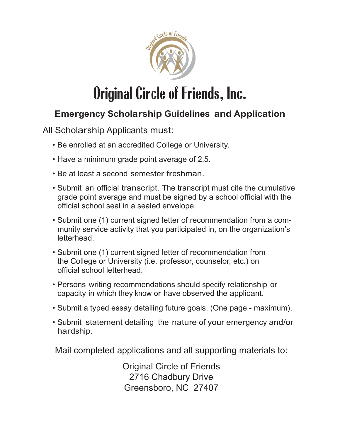

## Original Circle of Friends, Inc.

## **Emergency Scholarship Guidelines and Application**

All Scholarship Applicants must:

- Be enrolled at an accredited College or University.
- Have a minimum grade point average of 2.5.
- Be at least a second semester freshman.
- Submit an official transcript. The transcript must cite the cumulative grade point average and must be signed by a school official with the official school seal in a sealed envelope.
- Submit one (1) current signed letter of recommendation from a community service activity that you participated in, on the organization's letterhead.
- Submit one (1) current signed letter of recommendation from the College or University (i.e. professor, counselor, etc.) on official school letterhead.
- Persons writing recommendations should specify relationship or capacity in which they know or have observed the applicant.
- Submit a typed essay detailing future goals. (One page maximum).
- Submit statement detailing the nature of your emergency and/or hardship.

Mail completed applications and all supporting materials to:

Original Circle of Friends 2716 Chadbury Drive Greensboro, NC 27407